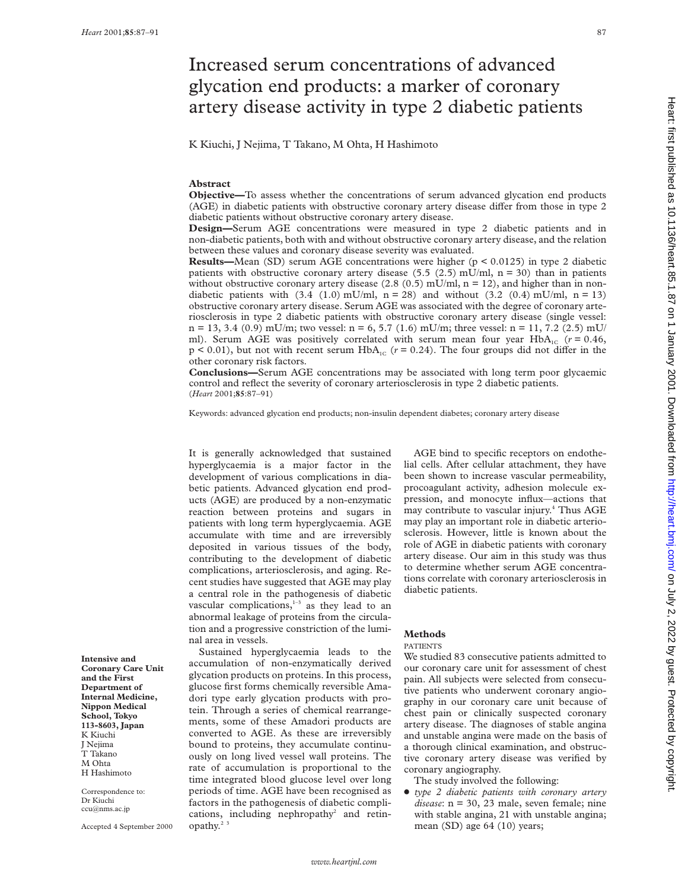# Increased serum concentrations of advanced glycation end products: a marker of coronary artery disease activity in type 2 diabetic patients

K Kiuchi, J Nejima, T Takano, M Ohta, H Hashimoto

#### **Abstract**

**Objective—**To assess whether the concentrations of serum advanced glycation end products (AGE) in diabetic patients with obstructive coronary artery disease differ from those in type 2 diabetic patients without obstructive coronary artery disease.

**Design—**Serum AGE concentrations were measured in type 2 diabetic patients and in non-diabetic patients, both with and without obstructive coronary artery disease, and the relation between these values and coronary disease severity was evaluated.

**Results—Mean** (SD) serum AGE concentrations were higher (p < 0.0125) in type 2 diabetic patients with obstructive coronary artery disease  $(5.5 \ (2.5) \text{ mU/ml}, \ n = 30)$  than in patients without obstructive coronary artery disease (2.8 (0.5) mU/ml,  $n = 12$ ), and higher than in nondiabetic patients with  $(3.4 \ (1.0) \text{ mU/ml}, \text{ n = 28})$  and without  $(3.2 \ (0.4) \text{ mU/ml}, \text{ n = 13})$ obstructive coronary artery disease. Serum AGE was associated with the degree of coronary arteriosclerosis in type 2 diabetic patients with obstructive coronary artery disease (single vessel:  $n = 13, 3.4$  (0.9) mU/m; two vessel:  $n = 6, 5.7$  (1.6) mU/m; three vessel:  $n = 11, 7.2$  (2.5) mU/ ml). Serum AGE was positively correlated with serum mean four year  $HbA_{1C}$  ( $r = 0.46$ ,  $p < 0.01$ ), but not with recent serum  $HbA<sub>1C</sub>$  ( $r = 0.24$ ). The four groups did not differ in the other coronary risk factors.

**Conclusions—**Serum AGE concentrations may be associated with long term poor glycaemic control and reflect the severity of coronary arteriosclerosis in type 2 diabetic patients. (*Heart* 2001;**85**:87–91)

Keywords: advanced glycation end products; non-insulin dependent diabetes; coronary artery disease

It is generally acknowledged that sustained hyperglycaemia is a major factor in the development of various complications in diabetic patients. Advanced glycation end products (AGE) are produced by a non-enzymatic reaction between proteins and sugars in patients with long term hyperglycaemia. AGE accumulate with time and are irreversibly deposited in various tissues of the body, contributing to the development of diabetic complications, arteriosclerosis, and aging. Recent studies have suggested that AGE may play a central role in the pathogenesis of diabetic  $v$ ascular complications, $1-3$  as they lead to an abnormal leakage of proteins from the circulation and a progressive constriction of the luminal area in vessels.

Sustained hyperglycaemia leads to the accumulation of non-enzymatically derived glycation products on proteins. In this process, glucose first forms chemically reversible Amadori type early glycation products with protein. Through a series of chemical rearrangements, some of these Amadori products are converted to AGE. As these are irreversibly bound to proteins, they accumulate continuously on long lived vessel wall proteins. The rate of accumulation is proportional to the time integrated blood glucose level over long periods of time. AGE have been recognised as factors in the pathogenesis of diabetic complications, including nephropathy<sup>2</sup> and retinopathy. $2$ 

AGE bind to specific receptors on endothelial cells. After cellular attachment, they have been shown to increase vascular permeability, procoagulant activity, adhesion molecule expression, and monocyte influx—actions that may contribute to vascular injury.<sup>4</sup> Thus AGE may play an important role in diabetic arteriosclerosis. However, little is known about the role of AGE in diabetic patients with coronary artery disease. Our aim in this study was thus to determine whether serum AGE concentrations correlate with coronary arteriosclerosis in diabetic patients.

### **Methods**

#### PATIENTS

We studied 83 consecutive patients admitted to our coronary care unit for assessment of chest pain. All subjects were selected from consecutive patients who underwent coronary angiography in our coronary care unit because of chest pain or clinically suspected coronary artery disease. The diagnoses of stable angina and unstable angina were made on the basis of a thorough clinical examination, and obstructive coronary artery disease was verified by coronary angiography.

The study involved the following:

x *type 2 diabetic patients with coronary artery disease*: n = 30, 23 male, seven female; nine with stable angina, 21 with unstable angina; mean (SD) age 64 (10) years;

**Intensive and Coronary Care Unit and the First Department of Internal Medicine, Nippon Medical School, Tokyo 113-8603, Japan** K Kiuchi J Nejima T Takano M Ohta H Hashimoto

Correspondence to: Dr Kiuchi ccu@nms.ac.jp

Accepted 4 September 2000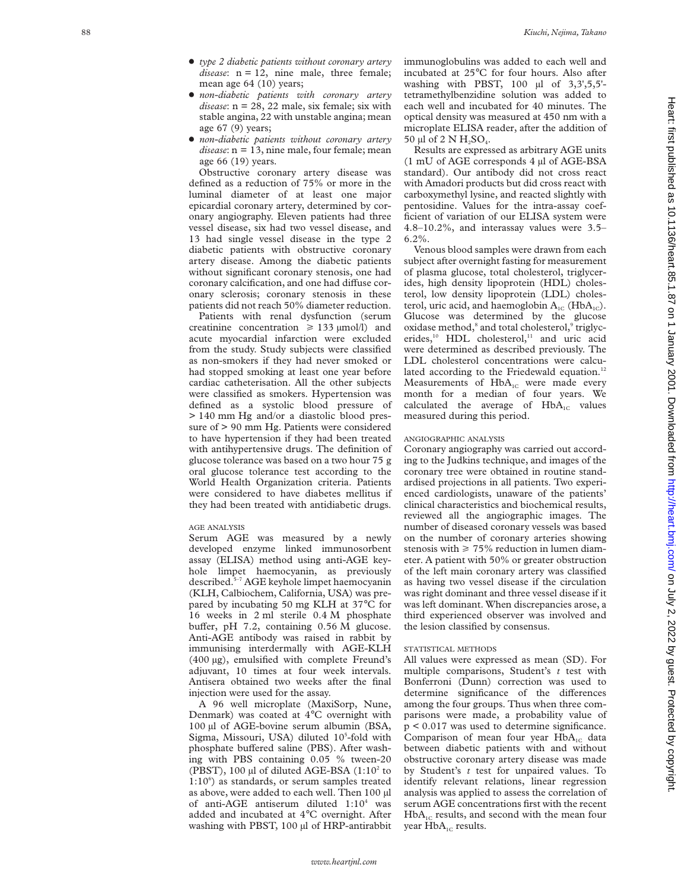- x *type 2 diabetic patients without coronary artery disease*: n = 12, nine male, three female; mean age 64 (10) years;
- x *non-diabetic patients with coronary artery disease*: n = 28, 22 male, six female; six with stable angina, 22 with unstable angina; mean age 67 (9) years;
- x *non-diabetic patients without coronary artery disease*: n = 13, nine male, four female; mean age 66 (19) years.

Obstructive coronary artery disease was defined as a reduction of 75% or more in the luminal diameter of at least one major epicardial coronary artery, determined by coronary angiography. Eleven patients had three vessel disease, six had two vessel disease, and 13 had single vessel disease in the type 2 diabetic patients with obstructive coronary artery disease. Among the diabetic patients without significant coronary stenosis, one had coronary calcification, and one had diffuse coronary sclerosis; coronary stenosis in these patients did not reach 50% diameter reduction.

Patients with renal dysfunction (serum creatinine concentration  $\geq 133 \text{ }\mu\text{mol/l)}$  and acute myocardial infarction were excluded from the study. Study subjects were classified as non-smokers if they had never smoked or had stopped smoking at least one year before cardiac catheterisation. All the other subjects were classified as smokers. Hypertension was defined as a systolic blood pressure of > 140 mm Hg and/or a diastolic blood pressure of > 90 mm Hg. Patients were considered to have hypertension if they had been treated with antihypertensive drugs. The definition of glucose tolerance was based on a two hour 75 g oral glucose tolerance test according to the World Health Organization criteria. Patients were considered to have diabetes mellitus if they had been treated with antidiabetic drugs.

#### AGE ANALYSIS

Serum AGE was measured by a newly developed enzyme linked immunosorbent assay (ELISA) method using anti-AGE keyhole limpet haemocyanin, as previously described.5–7 AGE keyhole limpet haemocyanin (KLH, Calbiochem, California, USA) was prepared by incubating 50 mg KLH at 37°C for 16 weeks in 2 ml sterile 0.4 M phosphate buffer, pH 7.2, containing 0.56 M glucose. Anti-AGE antibody was raised in rabbit by immunising interdermally with AGE-KLH (400 µg), emulsified with complete Freund's adjuvant, 10 times at four week intervals. Antisera obtained two weeks after the final injection were used for the assay.

A 96 well microplate (MaxiSorp, Nune, Denmark) was coated at 4 °C overnight with 100 µl of AGE-bovine serum albumin (BSA, Sigma, Missouri, USA) diluted 10 5 -fold with phosphate buffered saline (PBS). After washing with PBS containing 0.05 % tween-20 (PBST), 100 µl of diluted AGE-BSA  $(1:10<sup>2</sup>$  to 1:10 6 ) as standards, or serum samples treated as above, were added to each well. Then 100 µl of anti-AGE antiserum diluted 1:10 <sup>4</sup> was added and incubated at 4 °C overnight. After washing with PBST, 100 µl of HRP-antirabbit immunoglobulins was added to each well and incubated at 25 °C for four hours. Also after washing with PBST, 100 µl of 3,3',5,5' tetramethylbenzidine solution was added to each well and incubated for 40 minutes. The optical density was measured at 450 nm with a microplate ELISA reader, after the addition of 50 µl of 2 N  $H_2SO_4$ .

Results are expressed as arbitrary AGE units (1 mU of AGE corresponds 4 µl of AGE-BSA standard). Our antibody did not cross react with Amadori products but did cross react with carboxymethyl lysine, and reacted slightly with pentosidine. Values for the intra-assay coefficient of variation of our ELISA system were 4.8–10.2%, and interassay values were 3.5–  $6.2\%$ 

Venous blood samples were drawn from each subject after overnight fasting for measurement of plasma glucose, total cholesterol, triglycerides, high density lipoprotein (HDL) cholesterol, low density lipoprotein (LDL) cholesterol, uric acid, and haemoglobin  $A_{1C}$  (Hb $A_{1C}$ ). Glucose was determined by the glucose oxidase method, <sup>8</sup> and total cholesterol, <sup>9</sup> triglycerides,<sup>10</sup> HDL cholesterol,<sup>11</sup> and uric acid were determined as described previously. The LDL cholesterol concentrations were calculated according to the Friedewald equation.<sup>12</sup> Measurements of  $HbA_{1C}$  were made every month for a median of four years. We calculated the average of  $HbA_{1C}$  values measured during this period.

#### ANGIOGRAPHIC ANALYSIS

Coronary angiography was carried out according to the Judkins technique, and images of the coronary tree were obtained in routine standardised projections in all patients. Two experienced cardiologists, unaware of the patients' clinical characteristics and biochemical results, reviewed all the angiographic images. The number of diseased coronary vessels was based on the number of coronary arteries showing stenosis with  $\geq 75\%$  reduction in lumen diameter. A patient with 50% or greater obstruction of the left main coronary artery was classified as having two vessel disease if the circulation was right dominant and three vessel disease if it was left dominant. When discrepancies arose, a third experienced observer was involved and the lesion classified by consensus.

#### STATISTICAL METHODS

All values were expressed as mean (SD). For multiple comparisons, Student's *t* test with Bonferroni (Dunn) correction was used to determine significance of the differences among the four groups. Thus when three comparisons were made, a probability value of p < 0.017 was used to determine significance. Comparison of mean four year  $HbA_{1c}$  data between diabetic patients with and without obstructive coronary artery disease was made by Student's *t* test for unpaired values. To identify relevant relations, linear regression analysis was applied to assess the correlation of serum AGE concentrations first with the recent  $HbA_{1C}$  results, and second with the mean four year  $HbA_{1C}$  results.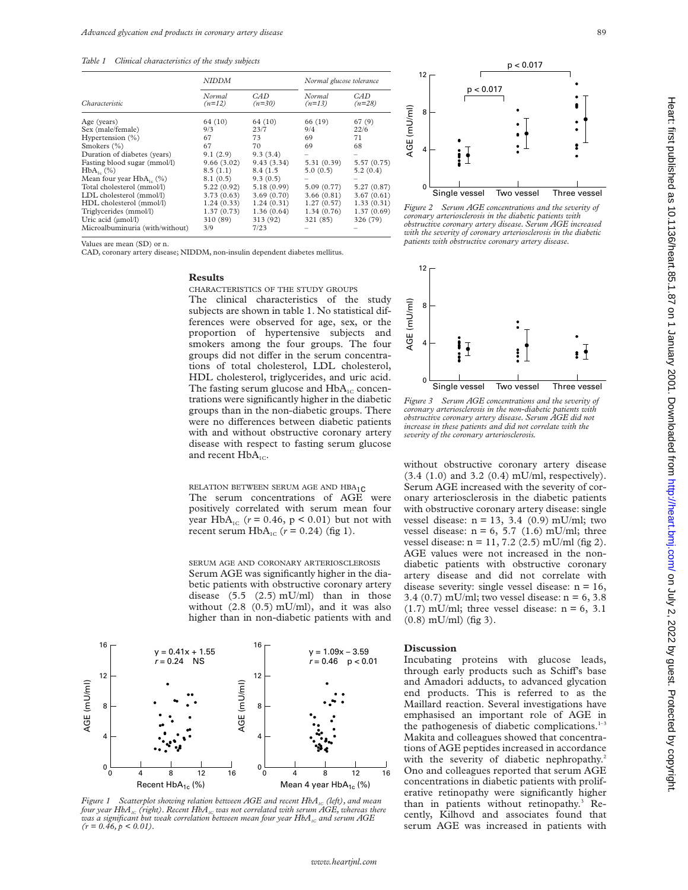*Table 1 Clinical characteristics of the study subjects*

| Characteristic                  | <b>NIDDM</b>       |                  | Normal glucose tolerance |                 |
|---------------------------------|--------------------|------------------|--------------------------|-----------------|
|                                 | Normal<br>$(n=12)$ | CAD.<br>$(n=30)$ | Normal<br>$(n=13)$       | CAD<br>$(n=28)$ |
| Age (years)                     | 64 (10)            | 64 (10)          | 66 (19)                  | 67(9)           |
| Sex (male/female)               | 9/3                | 23/7             | 9/4                      | 22/6            |
| Hypertension $(\% )$            | 67                 | 73               | 69                       | 71              |
| Smokers (%)                     | 67                 | 70               | 69                       | 68              |
| Duration of diabetes (years)    | 9.1(2.9)           | 9.3(3.4)         |                          |                 |
| Fasting blood sugar (mmol/l)    | 9.66(3.02)         | 9.43(3.34)       | 5.31(0.39)               | 5.57(0.75)      |
| $HbA_{1}$ (%)                   | 8.5(1.1)           | 8.4 (1.5)        | 5.0(0.5)                 | 5.2(0.4)        |
| Mean four year $HbA_{1}$ (%)    | 8.1(0.5)           | 9.3(0.5)         |                          |                 |
| Total cholesterol (mmol/l)      | 5.22(0.92)         | 5.18(0.99)       | 5.09(0.77)               | 5.27 (0.87)     |
| LDL cholesterol (mmol/l)        | 3.73(0.63)         | 3.69(0.70)       | 3.66(0.81)               | 3.67(0.61)      |
| HDL cholesterol (mmol/l)        | 1.24(0.33)         | 1.24(0.31)       | 1.27(0.57)               | 1.33(0.31)      |
| Triglycerides (mmol/l)          | 1.37(0.73)         | 1.36(0.64)       | 1.34(0.76)               | 1.37(0.69)      |
| Uric acid (umol/l)              | 310 (89)           | 313 (92)         | 321 (85)                 | 326 (79)        |
| Microalbuminuria (with/without) | 3/9                | 7/23             |                          |                 |

Values are mean (SD) or n.

CAD, coronary artery disease; NIDDM, non-insulin dependent diabetes mellitus.

#### **Results**

CHARACTERISTICS OF THE STUDY GROUPS The clinical characteristics of the study subjects are shown in table 1. No statistical differences were observed for age, sex, or the proportion of hypertensive subjects and smokers among the four groups. The four groups did not differ in the serum concentrations of total cholesterol, LDL cholesterol, HDL cholesterol, triglycerides, and uric acid. The fasting serum glucose and  $HbA_{1C}$  concentrations were significantly higher in the diabetic groups than in the non-diabetic groups. There were no differences between diabetic patients with and without obstructive coronary artery disease with respect to fasting serum glucose and recent  $HbA_{1C}$ .

RELATION BETWEEN SERUM AGE AND HBA1c The serum concentrations of AGE were positively correlated with serum mean four year  $HbA_{1C}$  ( $r = 0.46$ ,  $p < 0.01$ ) but not with recent serum  $HbA_{1C}$  ( $r = 0.24$ ) (fig 1).

SERUM AGE AND CORONARY ARTERIOSCLEROSIS Serum AGE was significantly higher in the diabetic patients with obstructive coronary artery disease  $(5.5 \ (2.5) \text{ mU/ml})$  than in those without (2.8 (0.5) mU/ml), and it was also higher than in non-diabetic patients with and



*Figure 1*  $\;$  *Scatterplot showing relation between AGE and recent HbA<sub>1c</sub> (left), and mean<br>four year HbA<sub>1c</sub> (right). Recent HbA<sub>1c</sub> was not correlated with serum AGE, whereas there was a significant but weak correlation between mean four year HbA<sub>1C</sub> and serum AGE*  $(r = 0.46, p < 0.01)$ .



*Figure 2 Serum AGE concentrations and the severity of coronary arteriosclerosis in the diabetic patients with obstructive coronary artery disease. Serum AGE increased with the severity of coronary arteriosclerosis in the diabetic patients with obstructive coronary artery disease.*



*Figure 3 Serum AGE concentrations and the severity of coronary arteriosclerosis in the non-diabetic patients with obstructive coronary artery disease. Serum AGE did not increase in these patients and did not correlate with the severity of the coronary arteriosclerosis.*

without obstructive coronary artery disease (3.4 (1.0) and 3.2 (0.4) mU/ml, respectively). Serum AGE increased with the severity of coronary arteriosclerosis in the diabetic patients with obstructive coronary artery disease: single vessel disease:  $n = 13$ , 3.4 (0.9) mU/ml; two vessel disease:  $n = 6$ , 5.7 (1.6) mU/ml; three vessel disease:  $n = 11, 7.2$  (2.5) mU/ml (fig 2). AGE values were not increased in the nondiabetic patients with obstructive coronary artery disease and did not correlate with disease severity: single vessel disease:  $n = 16$ , 3.4 (0.7) mU/ml; two vessel disease:  $n = 6, 3.8$  $(1.7)$  mU/ml; three vessel disease:  $n = 6, 3.1$  $(0.8)$  mU/ml) (fig 3).

#### **Discussion**

Incubating proteins with glucose leads, through early products such as Schiff's base and Amadori adducts, to advanced glycation end products. This is referred to as the Maillard reaction. Several investigations have emphasised an important role of AGE in the pathogenesis of diabetic complications. $1-3$ Makita and colleagues showed that concentrations of AGE peptides increased in accordance with the severity of diabetic nephropathy.<sup>2</sup> Ono and colleagues reported that serum AGE concentrations in diabetic patients with proliferative retinopathy were significantly higher than in patients without retinopathy.<sup>3</sup> Recently, Kilhovd and associates found that serum AGE was increased in patients with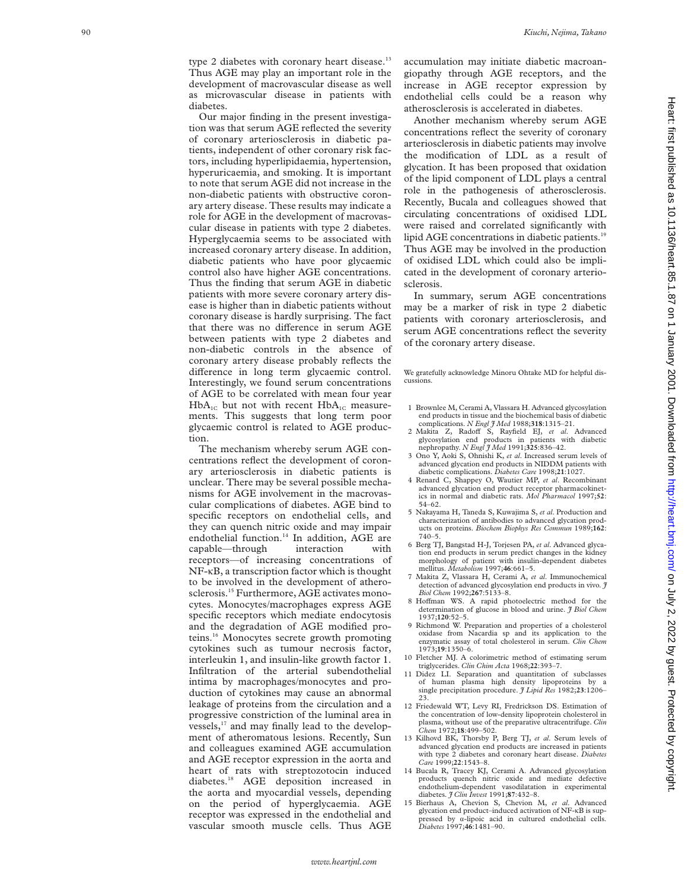type 2 diabetes with coronary heart disease.<sup>13</sup> Thus AGE may play an important role in the development of macrovascular disease as well as microvascular disease in patients with diabetes.

Our major finding in the present investigation was that serum AGE reflected the severity of coronary arteriosclerosis in diabetic patients, independent of other coronary risk factors, including hyperlipidaemia, hypertension, hyperuricaemia, and smoking. It is important to note that serum AGE did not increase in the non-diabetic patients with obstructive coronary artery disease. These results may indicate a role for AGE in the development of macrovascular disease in patients with type 2 diabetes. Hyperglycaemia seems to be associated with increased coronary artery disease. In addition, diabetic patients who have poor glycaemic control also have higher AGE concentrations. Thus the finding that serum AGE in diabetic patients with more severe coronary artery disease is higher than in diabetic patients without coronary disease is hardly surprising. The fact that there was no difference in serum AGE between patients with type 2 diabetes and non-diabetic controls in the absence of coronary artery disease probably reflects the difference in long term glycaemic control. Interestingly, we found serum concentrations of AGE to be correlated with mean four year  $HbA_{1C}$  but not with recent  $HbA_{1C}$  measurements. This suggests that long term poor glycaemic control is related to AGE production.

The mechanism whereby serum AGE concentrations reflect the development of coronary arteriosclerosis in diabetic patients is unclear. There may be several possible mechanisms for AGE involvement in the macrovascular complications of diabetes. AGE bind to specific receptors on endothelial cells, and they can quench nitric oxide and may impair endothelial function.<sup>14</sup> In addition, AGE are capable—through interaction with receptors—of increasing concentrations of NF-KB, a transcription factor which is thought to be involved in the development of atherosclerosis.<sup>15</sup> Furthermore, AGE activates monocytes. Monocytes/macrophages express AGE specific receptors which mediate endocytosis and the degradation of AGE modified proteins.16 Monocytes secrete growth promoting cytokines such as tumour necrosis factor, interleukin 1, and insulin-like growth factor 1. Infiltration of the arterial subendothelial intima by macrophages/monocytes and production of cytokines may cause an abnormal leakage of proteins from the circulation and a progressive constriction of the luminal area in vessels,<sup>17</sup> and may finally lead to the development of atheromatous lesions. Recently, Sun and colleagues examined AGE accumulation and AGE receptor expression in the aorta and heart of rats with streptozotocin induced diabetes.<sup>18</sup> AGE deposition increased in the aorta and myocardial vessels, depending on the period of hyperglycaemia. AGE receptor was expressed in the endothelial and vascular smooth muscle cells. Thus AGE

accumulation may initiate diabetic macroangiopathy through AGE receptors, and the increase in AGE receptor expression by endothelial cells could be a reason why atherosclerosis is accelerated in diabetes.

Another mechanism whereby serum AGE concentrations reflect the severity of coronary arteriosclerosis in diabetic patients may involve the modification of LDL as a result of glycation. It has been proposed that oxidation of the lipid component of LDL plays a central role in the pathogenesis of atherosclerosis. Recently, Bucala and colleagues showed that circulating concentrations of oxidised LDL were raised and correlated significantly with lipid AGE concentrations in diabetic patients.<sup>19</sup> Thus AGE may be involved in the production of oxidised LDL which could also be implicated in the development of coronary arteriosclerosis.

In summary, serum AGE concentrations may be a marker of risk in type 2 diabetic patients with coronary arteriosclerosis, and serum AGE concentrations reflect the severity of the coronary artery disease.

We gratefully acknowledge Minoru Ohtake MD for helpful discussions.

- 1 Brownlee M, Cerami A, Vlassara H. Advanced glycosylation end products in tissue and the biochemical basis of diabetic complications. *N Engl J Med* 1988;**318**:1315–21.
- 2 Makita Z, Radoff S, Rayfield EJ, et al. Advanced glycosylation end products in patients with diabetic nephropathy. *N Engl J Med* 1991;**325**:836–42.
- 3 Ono Y, Aoki S, Ohnishi K, *et al*. Increased serum levels of advanced glycation end products in NIDDM patients with diabetic complications. *Diabetes Care* 1998;**21**:1027.
- 4 Renard C, Shappey O, Wautier MP, *et al*. Recombinant advanced glycation end product receptor pharmacokinetics in normal and diabetic rats. *Mol Pharmacol* 1997;**52**: 54–62.
- 5 Nakayama H, Taneda S, Kuwajima S, *et al*. Production and characterization of antibodies to advanced glycation products on proteins. *Biochem Biophys Res Commun* 1989;**162**: 740–5.
- 6 Berg TJ, Bangstad H-J, Torjesen PA, *et al*. Advanced glycation end products in serum predict changes in the kidney morphology of patient with insulin-dependent diabetes mellitus. *Metabolism* 1997;**46**:661–5.
- 7 Makita Z, Vlassara H, Cerami A, *et al*. Immunochemical detection of advanced glycosylation end products in vivo. *J Biol Chem* 1992;**267**:5133–8.
- 8 Hoffman WS. A rapid photoelectric method for the determination of glucose in blood and urine. *J Biol Chem* 1937;**120**:52–5.
- 9 Richmond W. Preparation and properties of a cholesterol oxidase from Nacardia sp and its application to the enzymatic assay of total cholesterol in serum. *Clin Chem* 1973;**19**:1350–6.
- 10 Fletcher MJ. A colorimetric method of estimating serum triglycerides. *Clin Chim Acta* 1968;**22**:393–7.
- Didez LI. Separation and quantitation of subclasses of human plasma high density lipoproteins single precipitation procedure. *J Lipid Res* 1982;**23**:1206– 23.
- 12 Friedewald WT, Levy RI, Fredrickson DS. Estimation of the concentration of low-density lipoprotein cholesterol in plasma, without use of the preparative ultracentrifuge. *Clin Chem* 1972;**18**:499–502.
- 13 Kilhovd BK, Thorsby P, Berg TJ, *et al*. Serum levels of advanced glycation end products are increased in patients with type 2 diabetes and coronary heart disease. *Diabetes Care* 1999;**22**:1543–8.
- 14 Bucala R, Tracey KJ, Cerami A. Advanced glycosylation products quench nitric oxide and mediate defective endothelium-dependent vasodilatation in experimental diabetes. *J Clin Invest* 1991;**87**:432–8.
- 15 Bierhaus A, Chevion S, Chevion M, *et al*. Advanced glycation end product-induced activation of NF-KB is suppressed by  $\alpha$ -lipoic acid in cultured endothelial cells *Diabetes* 1997;**46**:1481–90.